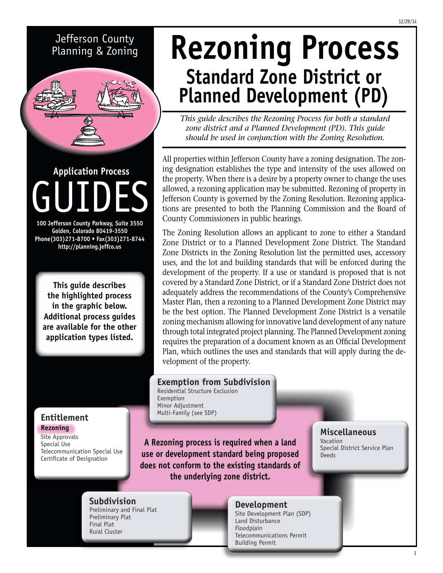## Jefferson County Planning & Zoning



GUIDES **Application Process**

**100 Jefferson County Parkway, Suite 3550 Golden, Colorado 80419-3550 Phone(303)271-8700 • Fax(303)271-8744 http://planning.jeffco.us**

**This guide describes the highlighted process in the graphic below. Additional process guides are available for the other application types listed.**

**Entitlement Rezoning** Site Approvals Special Use

Telecommunication Special Use Certificate of Designation

# **Rezoning Process Standard Zone District or Planned Development (PD)**

*This guide describes the Rezoning Process for both a standard zone district and a Planned Development (PD). This guide should be used in conjunction with the Zoning Resolution.*

All properties within Jefferson County have a zoning designation. The zoning designation establishes the type and intensity of the uses allowed on the property. When there is a desire by a property owner to change the uses allowed, a rezoning application may be submitted. Rezoning of property in Jefferson County is governed by the Zoning Resolution. Rezoning applications are presented to both the Planning Commission and the Board of County Commissioners in public hearings.

The Zoning Resolution allows an applicant to zone to either a Standard Zone District or to a Planned Development Zone District. The Standard Zone Districts in the Zoning Resolution list the permitted uses, accessory uses, and the lot and building standards that will be enforced during the development of the property. If a use or standard is proposed that is not covered by a Standard Zone District, or if a Standard Zone District does not adequately address the recommendations of the County's Comprehensive Master Plan, then a rezoning to a Planned Development Zone District may be the best option. The Planned Development Zone District is a versatile zoning mechanism allowing for innovative land development of any nature through total integrated project planning. The Planned Development zoning requires the preparation of a document known as an Official Development Plan, which outlines the uses and standards that will apply during the development of the property.

## **Exemption from Subdivision**

Residential Structure Exclusion Exemption Minor Adjustment Multi-Family (see SDP)

**A Rezoning process is required when a land use or development standard being proposed does not conform to the existing standards of the underlying zone district.**

### **Miscellaneous**

Vacation Special District Service Plan Deeds

# **Subdivision** Preliminary and Final Plat

Preliminary Plat Final Plat Rural Cluster

#### **Development** Site Development Plan (SDP)

Land Disturbance Floodplain Telecommunications Permit Building Permit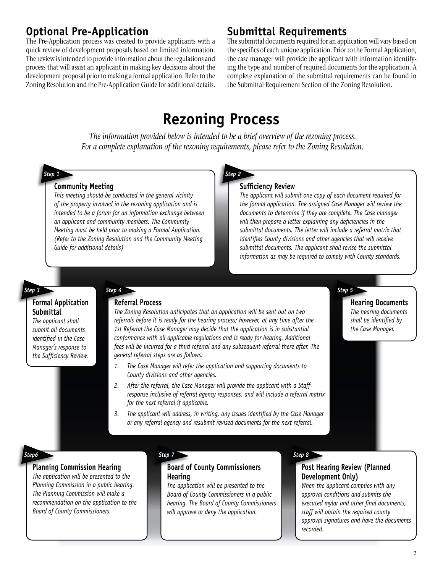## **Optional Pre-Application**

The Pre-Application process was created to provide applicants with a quick review of development proposals based on limited information. The review is intended to provide information about the regulations and process that will assist an applicant in making key decisions about the development proposal prior to making a formal application. Refer to the Zoning Resolution and the Pre-Application Guide for additional details.

## **Submittal Requirements**

The submittal documents required for an application will vary based on the specifics of each unique application. Prior to the Formal Application, the case manager will provide the applicant with information identifying the type and number of required documents for the application. A complete explanation of the submittal requirements can be found in the Submittal Requirement Section of the Zoning Resolution.

# **Rezoning Process**

*The information provided below is intended to be a brief overview of the rezoning process. For a complete explanation of the rezoning requirements, please refer to the Zoning Resolution.*

*Step 1 Step 2*

### **Community Meeting**

*This meeting should be conducted in the general vicinity of the property involved in the rezoning application and is intended to be a forum for an information exchange between an applicant and community members. The Community Meeting must be held prior to making a Formal Application. (Refer to the Zoning Resolution and the Community Meeting Guide for additional details)*

#### **Sufficiency Review**

*The applicant will submit one copy of each document required for the formal application. The assigned Case Manager will review the documents to determine if they are complete. The Case manager will then prepare a letter explaining any deficiencies in the submittal documents. The letter will include a referral matrix that identifies County divisions and other agencies that will receive submittal documents. The applicant shall revise the submittal information as may be required to comply with County standards.*

#### *Step 3*

#### **Formal Application Submittal**

*The applicant shall submit all documents identified in the Case Manager's response to the Sufficiency Review.*

## **Referral Process**

*The Zoning Resolution anticipates that an application will be sent out on two referrals before it is ready for the hearing process; however, at any time after the 1st Referral the Case Manager may decide that the application is in substantial conformance with all applicable regulations and is ready for hearing. Additional fees will be incurred for a third referral and any subsequent referral there after. The general referral steps are as follows:*

- *1. The Case Manager will refer the application and supporting documents to County divisions and other agencies.*
- *2. After the referral, the Case Manager will provide the applicant with a Staff response inclusive of referral agency responses, and will include a referral matrix for the next referral if applicable.*
- *3. The applicant will address, in writing, any issues identified by the Case Manager or any referral agency and resubmit revised documents for the next referral.*

#### *Step 4 Step 5*

**Hearing Documents** *The hearing documents shall be identified by the Case Manager.* 

## *Step6 Step 7 Step 8*

#### **Planning Commission Hearing**

*The application will be presented to the Planning Commission in a public hearing. The Planning Commission will make a recommendation on the application to the Board of County Commissioners.*

#### **Board of County Commissioners Hearing**

*The application will be presented to the Board of County Commissioners in a public hearing. The Board of County Commissioners will approve or deny the application.* 

#### **Post Hearing Review (Planned Development Only)**

*When the applicant complies with any approval conditions and submits the executed mylar and other final documents, staff will obtain the required county approval signatures and have the documents recorded.*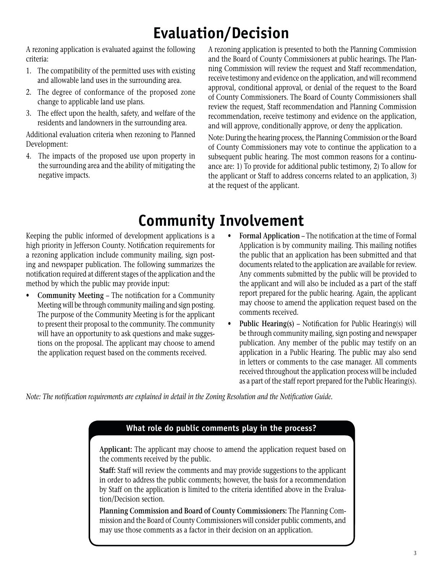# **Evaluation/Decision**

A rezoning application is evaluated against the following criteria:

- 1. The compatibility of the permitted uses with existing and allowable land uses in the surrounding area.
- 2. The degree of conformance of the proposed zone change to applicable land use plans.
- 3. The effect upon the health, safety, and welfare of the residents and landowners in the surrounding area.

Additional evaluation criteria when rezoning to Planned Development:

4. The impacts of the proposed use upon property in the surrounding area and the ability of mitigating the negative impacts.

A rezoning application is presented to both the Planning Commission and the Board of County Commissioners at public hearings. The Planning Commission will review the request and Staff recommendation, receive testimony and evidence on the application, and will recommend approval, conditional approval, or denial of the request to the Board of County Commissioners. The Board of County Commissioners shall review the request, Staff recommendation and Planning Commission recommendation, receive testimony and evidence on the application, and will approve, conditionally approve, or deny the application.

Note: During the hearing process, the Planning Commission or the Board of County Commissioners may vote to continue the application to a subsequent public hearing. The most common reasons for a continuance are: 1) To provide for additional public testimony, 2) To allow for the applicant or Staff to address concerns related to an application, 3) at the request of the applicant.

# **Community Involvement**

Keeping the public informed of development applications is a high priority in Jefferson County. Notification requirements for a rezoning application include community mailing, sign posting and newspaper publication. The following summarizes the notification required at different stages of the application and the method by which the public may provide input:

- **Community Meeting** The notification for a Community Meeting will be through community mailing and sign posting. The purpose of the Community Meeting is for the applicant to present their proposal to the community. The community will have an opportunity to ask questions and make suggestions on the proposal. The applicant may choose to amend the application request based on the comments received.
- **Formal Application** The notification at the time of Formal Application is by community mailing. This mailing notifies the public that an application has been submitted and that documents related to the application are available for review. Any comments submitted by the public will be provided to the applicant and will also be included as a part of the staff report prepared for the public hearing. Again, the applicant may choose to amend the application request based on the comments received.
- **Public Hearing(s)** Notification for Public Hearing(s) will be through community mailing, sign posting and newspaper publication. Any member of the public may testify on an application in a Public Hearing. The public may also send in letters or comments to the case manager. All comments received throughout the application process will be included as a part of the staff report prepared for the Public Hearing(s).

*Note: The notification requirements are explained in detail in the Zoning Resolution and the Notification Guide.*

### **What role do public comments play in the process?**

**Applicant:** The applicant may choose to amend the application request based on the comments received by the public.

**Staff:** Staff will review the comments and may provide suggestions to the applicant in order to address the public comments; however, the basis for a recommendation by Staff on the application is limited to the criteria identified above in the Evaluation/Decision section.

**Planning Commission and Board of County Commissioners:** The Planning Commission and the Board of County Commissioners will consider public comments, and may use those comments as a factor in their decision on an application.